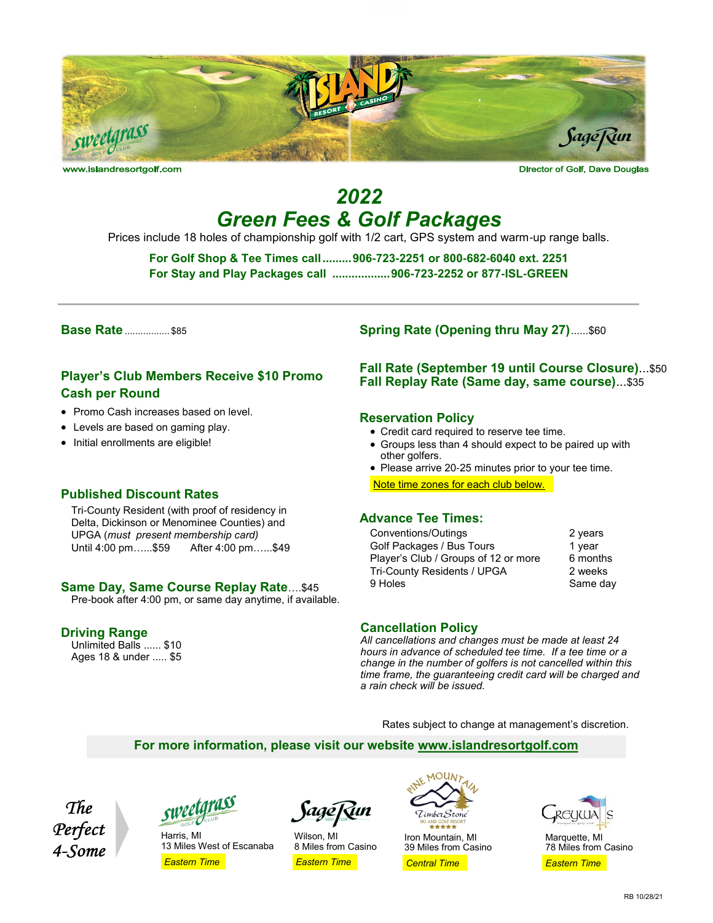

www.islandresortgolf.com

**Director of Golf, Dave Douglas** 

## *2022 Green Fees & Golf Packages*

Prices include 18 holes of championship golf with 1/2 cart, GPS system and warm-up range balls.

**For Golf Shop & Tee Times call.........906-723-2251 or 800-682-6040 ext. 2251 For Stay and Play Packages call ..................906-723-2252 or 877-ISL-GREEN**

#### **Player's Club Members Receive \$10 Promo Cash per Round**

- Promo Cash increases based on level.
- Levels are based on gaming play.
- Initial enrollments are eligible!

#### **Published Discount Rates**

Tri-County Resident (with proof of residency in Delta, Dickinson or Menominee Counties) and UPGA (*must present membership card)* Until 4:00 pm…...\$59 After 4:00 pm…...\$49

#### **Same Day, Same Course Replay Rate**….\$45

Pre-book after 4:00 pm, or same day anytime, if available.

#### **Driving Range**

Unlimited Balls ...... \$10 Ages 18 & under ..... \$5

#### **Base Rate**................. \$85 **Spring Rate (Opening thru May 27)**......\$60

**Fall Rate (September 19 until Course Closure)**...\$50 **Fall Replay Rate (Same day, same course)**...\$35

#### **Reservation Policy**

- Credit card required to reserve tee time.
- Groups less than 4 should expect to be paired up with other golfers.
- Please arrive 20-25 minutes prior to your tee time.

Note time zones for each club below.

#### **Advance Tee Times:**

| Conventions/Outings                  |
|--------------------------------------|
| Golf Packages / Bus Tours            |
| Player's Club / Groups of 12 or more |
| Tri-County Residents / UPGA          |
| 9 Holes                              |

#### **Cancellation Policy**

*All cancellations and changes must be made at least 24 hours in advance of scheduled tee time. If a tee time or a change in the number of golfers is not cancelled within this time frame, the guaranteeing credit card will be charged and a rain check will be issued.*

Rates subject to change at management's discretion.

#### **For more information, please visit our website www.islandresortgolf.com**

Perfect 4-Some

*Eastern Time Eastern Time Central Time Eastern Time* Harris, MI 13 Miles West of Escanaba

Wilson, MI 8 Miles from Casino



Iron Mountain, MI 39 Miles from Casino



2 years 1 year 6 months 2 weeks Same day

Marquette, MI 78 Miles from Casino